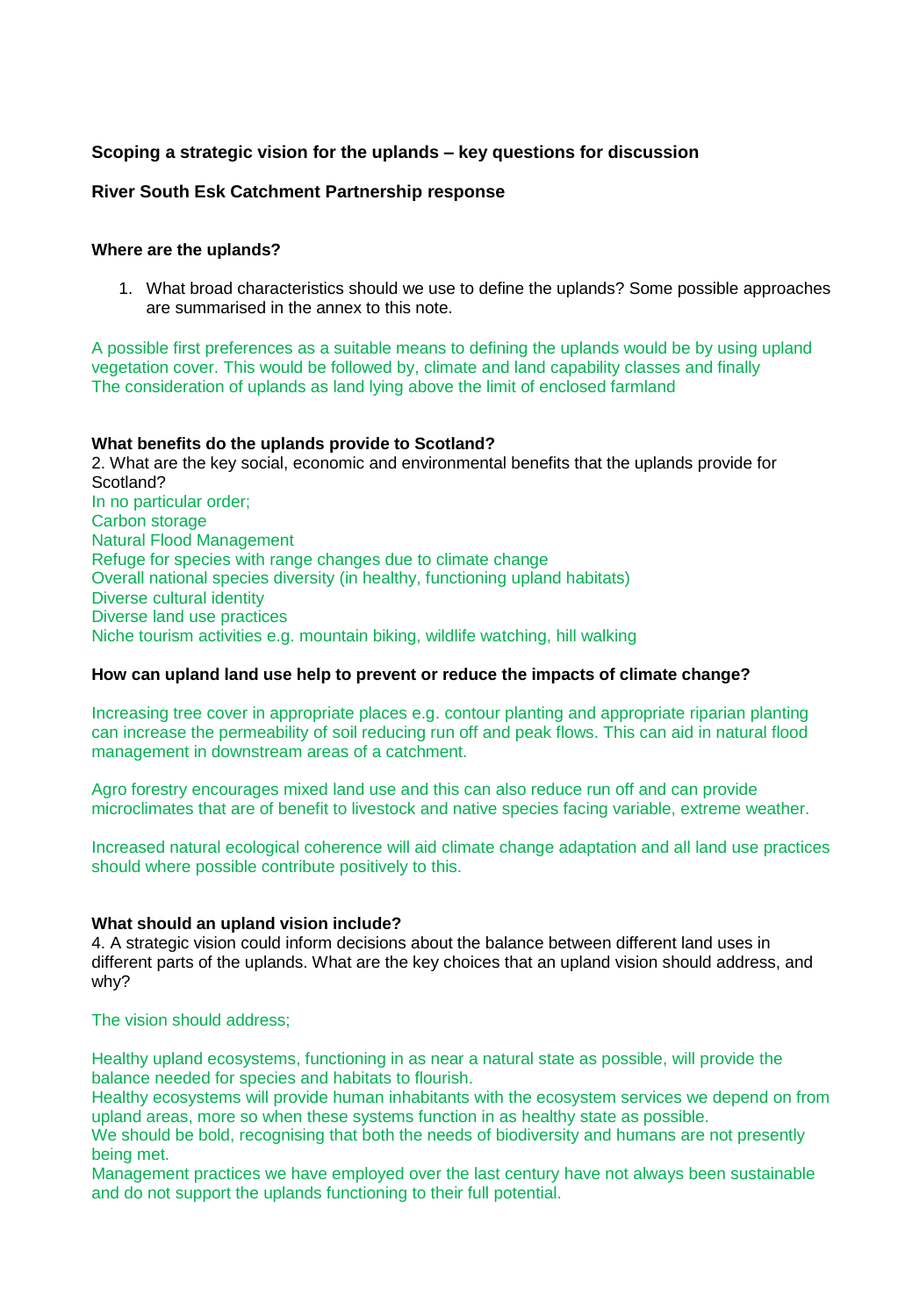# **Scoping a strategic vision for the uplands – key questions for discussion**

# **River South Esk Catchment Partnership response**

#### **Where are the uplands?**

1. What broad characteristics should we use to define the uplands? Some possible approaches are summarised in the annex to this note.

A possible first preferences as a suitable means to defining the uplands would be by using upland vegetation cover. This would be followed by, climate and land capability classes and finally The consideration of uplands as land lying above the limit of enclosed farmland

#### **What benefits do the uplands provide to Scotland?**

2. What are the key social, economic and environmental benefits that the uplands provide for Scotland? In no particular order; Carbon storage Natural Flood Management Refuge for species with range changes due to climate change Overall national species diversity (in healthy, functioning upland habitats) Diverse cultural identity Diverse land use practices Niche tourism activities e.g. mountain biking, wildlife watching, hill walking

## **How can upland land use help to prevent or reduce the impacts of climate change?**

Increasing tree cover in appropriate places e.g. contour planting and appropriate riparian planting can increase the permeability of soil reducing run off and peak flows. This can aid in natural flood management in downstream areas of a catchment.

Agro forestry encourages mixed land use and this can also reduce run off and can provide microclimates that are of benefit to livestock and native species facing variable, extreme weather.

Increased natural ecological coherence will aid climate change adaptation and all land use practices should where possible contribute positively to this.

## **What should an upland vision include?**

4. A strategic vision could inform decisions about the balance between different land uses in different parts of the uplands. What are the key choices that an upland vision should address, and why?

## The vision should address;

Healthy upland ecosystems, functioning in as near a natural state as possible, will provide the balance needed for species and habitats to flourish.

Healthy ecosystems will provide human inhabitants with the ecosystem services we depend on from upland areas, more so when these systems function in as healthy state as possible.

We should be bold, recognising that both the needs of biodiversity and humans are not presently being met.

Management practices we have employed over the last century have not always been sustainable and do not support the uplands functioning to their full potential.